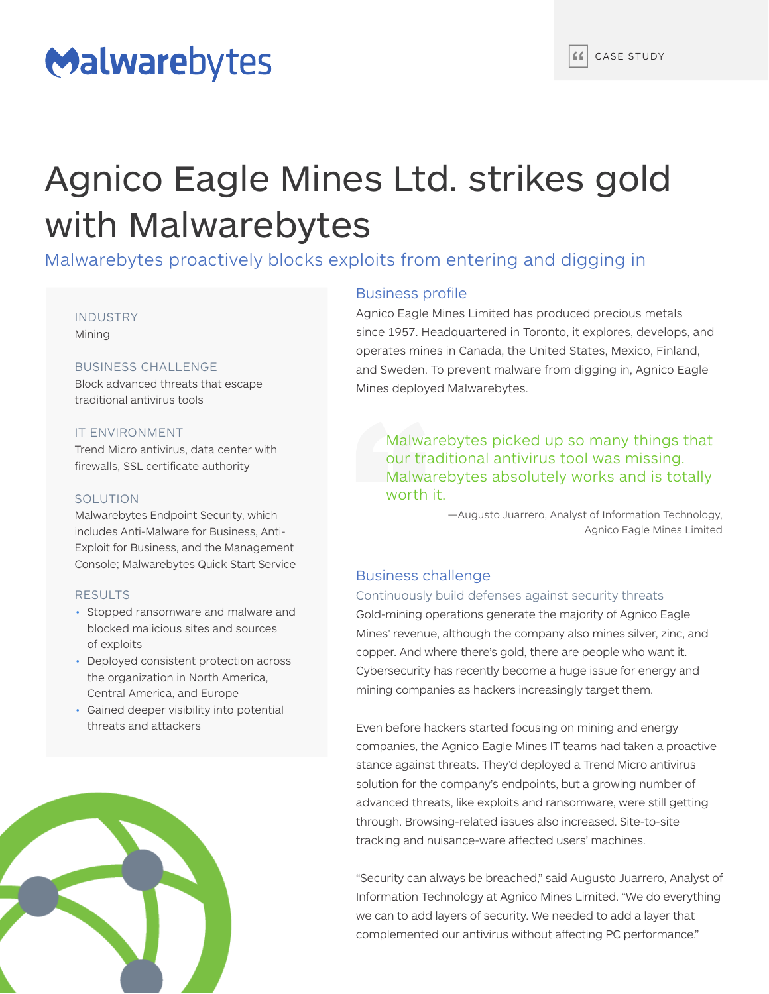# Malwarebytes

# Agnico Eagle Mines Ltd. strikes gold with Malwarebytes

Malwarebytes proactively blocks exploits from entering and digging in

#### INDUSTRY Mining

#### BUSINESS CHALLENGE

Block advanced threats that escape traditional antivirus tools

#### IT ENVIRONMENT

Trend Micro antivirus, data center with firewalls, SSL certificate authority

#### SOLUTION

Malwarebytes Endpoint Security, which includes Anti-Malware for Business, Anti-Exploit for Business, and the Management Console; Malwarebytes Quick Start Service

#### RESULTS

- Stopped ransomware and malware and blocked malicious sites and sources of exploits
- Deployed consistent protection across the organization in North America, Central America, and Europe
- Gained deeper visibility into potential threats and attackers



### Business profile

Agnico Eagle Mines Limited has produced precious metals since 1957. Headquartered in Toronto, it explores, develops, and operates mines in Canada, the United States, Mexico, Finland, and Sweden. To prevent malware from digging in, Agnico Eagle Mines deployed Malwarebytes.

Malwarebytes picked up so many things that our traditional antivirus tool was missing. Malwarebytes absolutely works and is totally worth it.

> —Augusto Juarrero, Analyst of Information Technology, Agnico Eagle Mines Limited

### Business challenge

#### Continuously build defenses against security threats

Gold-mining operations generate the majority of Agnico Eagle Mines' revenue, although the company also mines silver, zinc, and copper. And where there's gold, there are people who want it. Cybersecurity has recently become a huge issue for energy and mining companies as hackers increasingly target them.

Even before hackers started focusing on mining and energy companies, the Agnico Eagle Mines IT teams had taken a proactive stance against threats. They'd deployed a Trend Micro antivirus solution for the company's endpoints, but a growing number of advanced threats, like exploits and ransomware, were still getting through. Browsing-related issues also increased. Site-to-site tracking and nuisance-ware affected users' machines.

"Security can always be breached," said Augusto Juarrero, Analyst of Information Technology at Agnico Mines Limited. "We do everything we can to add layers of security. We needed to add a layer that complemented our antivirus without affecting PC performance."